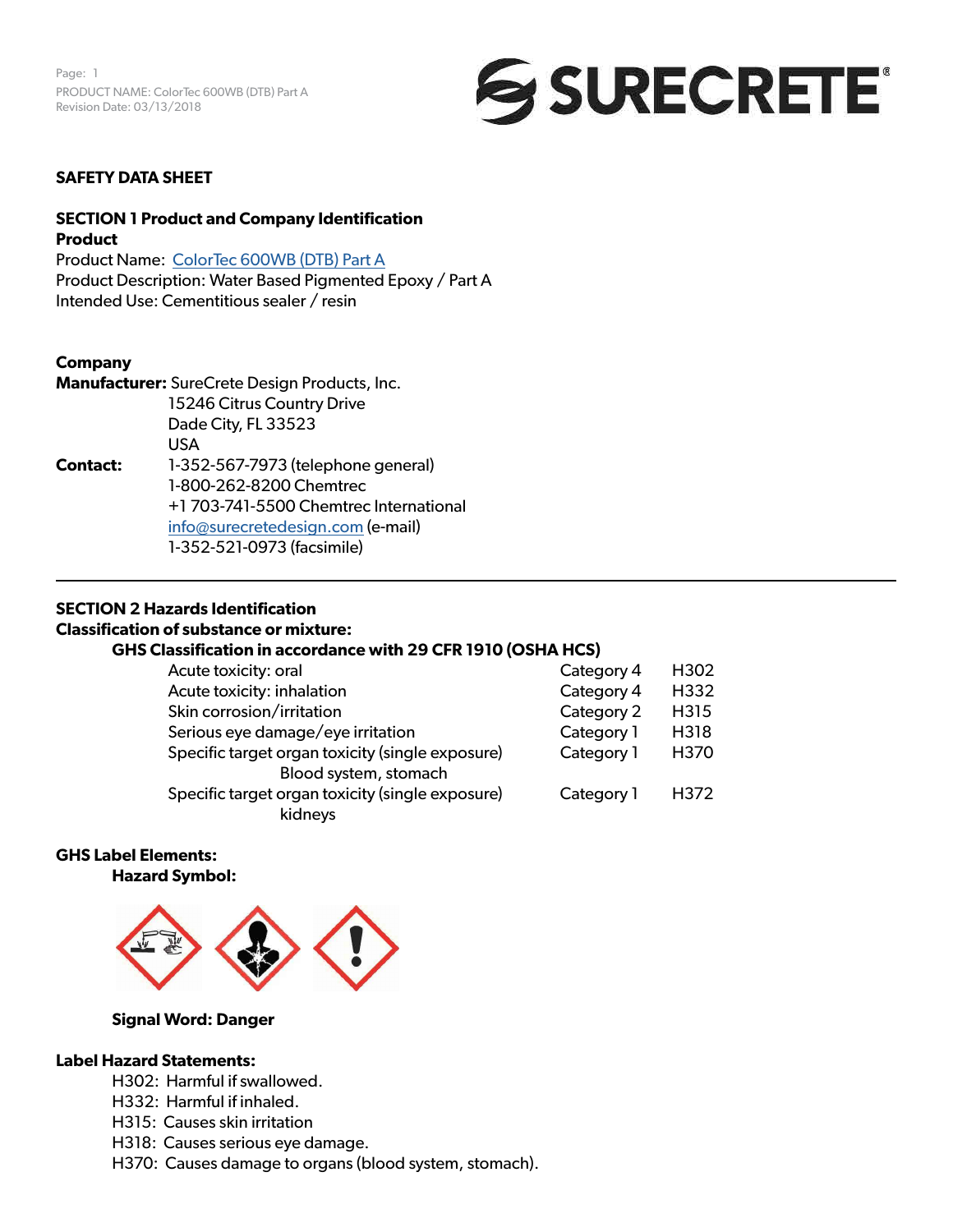Page: 1 PRODUCT NAME: ColorTec 600WB (DTB) Part A Revision Date: 03/13/2018



### **SAFETY DATA SHEET**

## **SECTION 1 Product and Company Identification Product**

Product Name: [ColorTec 600WB \(DTB\) Part A](https://www.surecretedesign.com/product/colored-floor-epoxy-wb) Product Description: Water Based Pigmented Epoxy / Part A Intended Use: Cementitious sealer / resin

#### **Company**

**Manufacturer:** SureCrete Design Products, Inc. 15246 Citrus Country Drive Dade City, FL 33523 USA **Contact:** 1-352-567-7973 (telephone general) 1-800-262-8200 Chemtrec +1 703-741-5500 Chemtrec International [info@surecretedesign.com](mailto:info%40surecretedesign.com?subject=ColorTec%20600WB%20%28DTB%29%20Part%20A%20-%20SDS%20Inquiry) (e-mail) 1-352-521-0973 (facsimile)

## **SECTION 2 Hazards Identification**

## **Classification of substance or mixture:**

## **GHS Classification in accordance with 29 CFR 1910 (OSHA HCS)**

| Category 4 | H <sub>302</sub> |
|------------|------------------|
| Category 4 | H332             |
| Category 2 | H315             |
| Category 1 | H318             |
| Category 1 | H370             |
|            |                  |
| Category 1 | H372             |
|            |                  |
|            |                  |

# **GHS Label Elements:**

**Hazard Symbol:** 



### **Signal Word: Danger**

### **Label Hazard Statements:**

- H302: Harmful if swallowed.
- H332: Harmful if inhaled.
- H315: Causes skin irritation
- H318: Causes serious eye damage.
- H370: Causes damage to organs (blood system, stomach).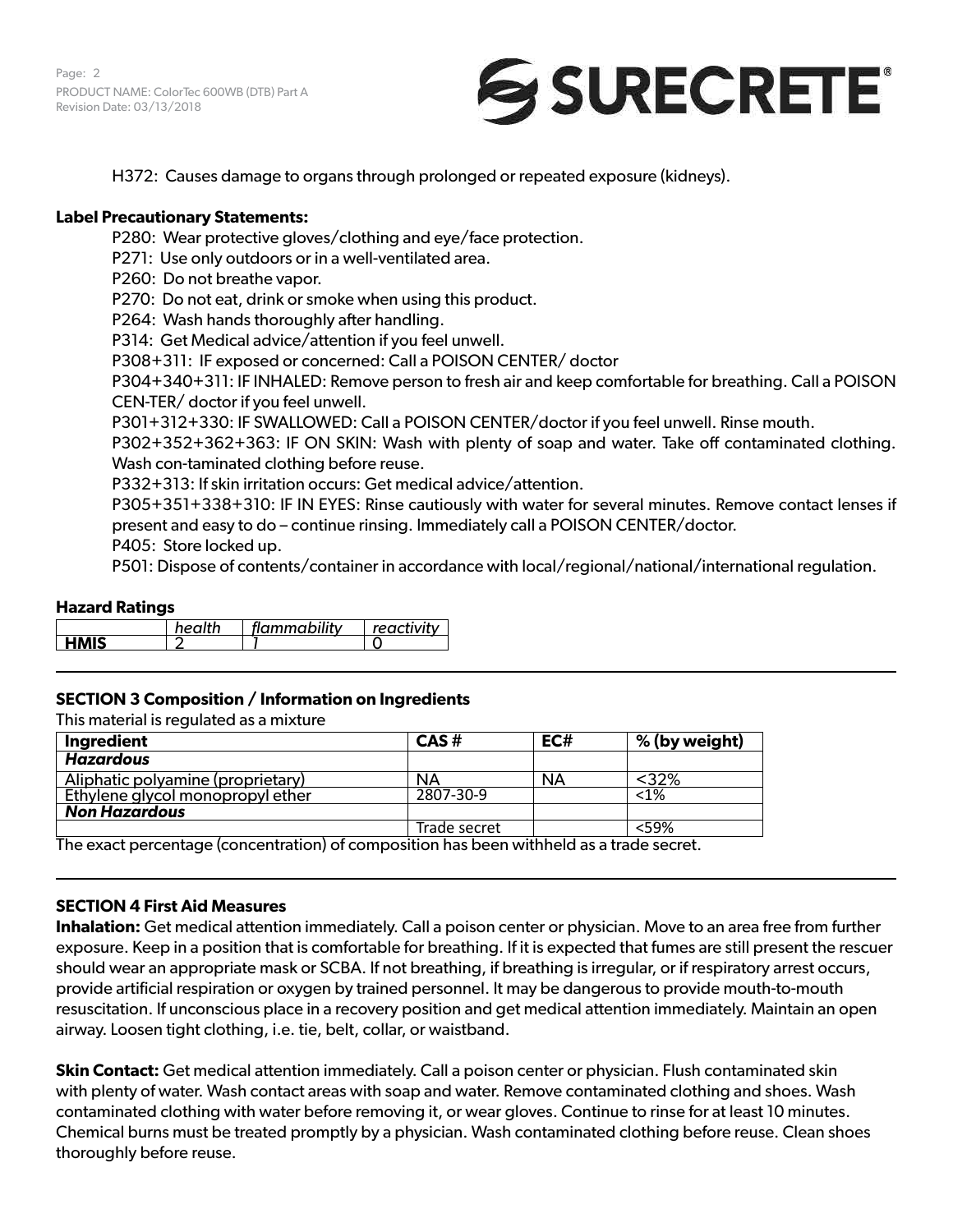Page: 2 PRODUCT NAME: ColorTec 600WB (DTB) Part A Revision Date: 03/13/2018



H372: Causes damage to organs through prolonged or repeated exposure (kidneys).

### **Label Precautionary Statements:**

P280: Wear protective gloves/clothing and eye/face protection.

P271: Use only outdoors or in a well-ventilated area.

P260: Do not breathe vapor.

P270: Do not eat, drink or smoke when using this product.

P264: Wash hands thoroughly after handling.

P314: Get Medical advice/attention if you feel unwell.

P308+311: IF exposed or concerned: Call a POISON CENTER/ doctor

P304+340+311: IF INHALED: Remove person to fresh air and keep comfortable for breathing. Call a POISON CEN-TER/ doctor if you feel unwell.

P301+312+330: IF SWALLOWED: Call a POISON CENTER/doctor if you feel unwell. Rinse mouth.

P302+352+362+363: IF ON SKIN: Wash with plenty of soap and water. Take off contaminated clothing. Wash con-taminated clothing before reuse.

P332+313: If skin irritation occurs: Get medical advice/attention.

P305+351+338+310: IF IN EYES: Rinse cautiously with water for several minutes. Remove contact lenses if present and easy to do – continue rinsing. Immediately call a POISON CENTER/doctor.

P405: Store locked up.

P501: Dispose of contents/container in accordance with local/regional/national/international regulation.

### **Hazard Ratings**

|             | health | flammability | reactivity |
|-------------|--------|--------------|------------|
| <b>HMIS</b> |        |              |            |

## **SECTION 3 Composition / Information on Ingredients**

This material is regulated as a mixture

| Ingredient                                                                                      | CAS#         | EC#       | % (by weight) |
|-------------------------------------------------------------------------------------------------|--------------|-----------|---------------|
| <b>Hazardous</b>                                                                                |              |           |               |
| Aliphatic polyamine (proprietary)                                                               | <b>NA</b>    | <b>NA</b> | $32%$         |
| Ethylene glycol monopropyl ether                                                                | 2807-30-9    |           | $< 1\%$       |
| <b>Non Hazardous</b>                                                                            |              |           |               |
|                                                                                                 | Trade secret |           | $<$ 59%       |
| The executive weakens for a contration) of common sitiant has been withhelded as a trade accust |              |           |               |

The exact percentage (concentration) of composition has been withheld as a trade secret.

#### **SECTION 4 First Aid Measures**

**Inhalation:** Get medical attention immediately. Call a poison center or physician. Move to an area free from further exposure. Keep in a position that is comfortable for breathing. If it is expected that fumes are still present the rescuer should wear an appropriate mask or SCBA. If not breathing, if breathing is irregular, or if respiratory arrest occurs, provide artificial respiration or oxygen by trained personnel. It may be dangerous to provide mouth-to-mouth resuscitation. If unconscious place in a recovery position and get medical attention immediately. Maintain an open airway. Loosen tight clothing, i.e. tie, belt, collar, or waistband.

**Skin Contact:** Get medical attention immediately. Call a poison center or physician. Flush contaminated skin with plenty of water. Wash contact areas with soap and water. Remove contaminated clothing and shoes. Wash contaminated clothing with water before removing it, or wear gloves. Continue to rinse for at least 10 minutes. Chemical burns must be treated promptly by a physician. Wash contaminated clothing before reuse. Clean shoes thoroughly before reuse.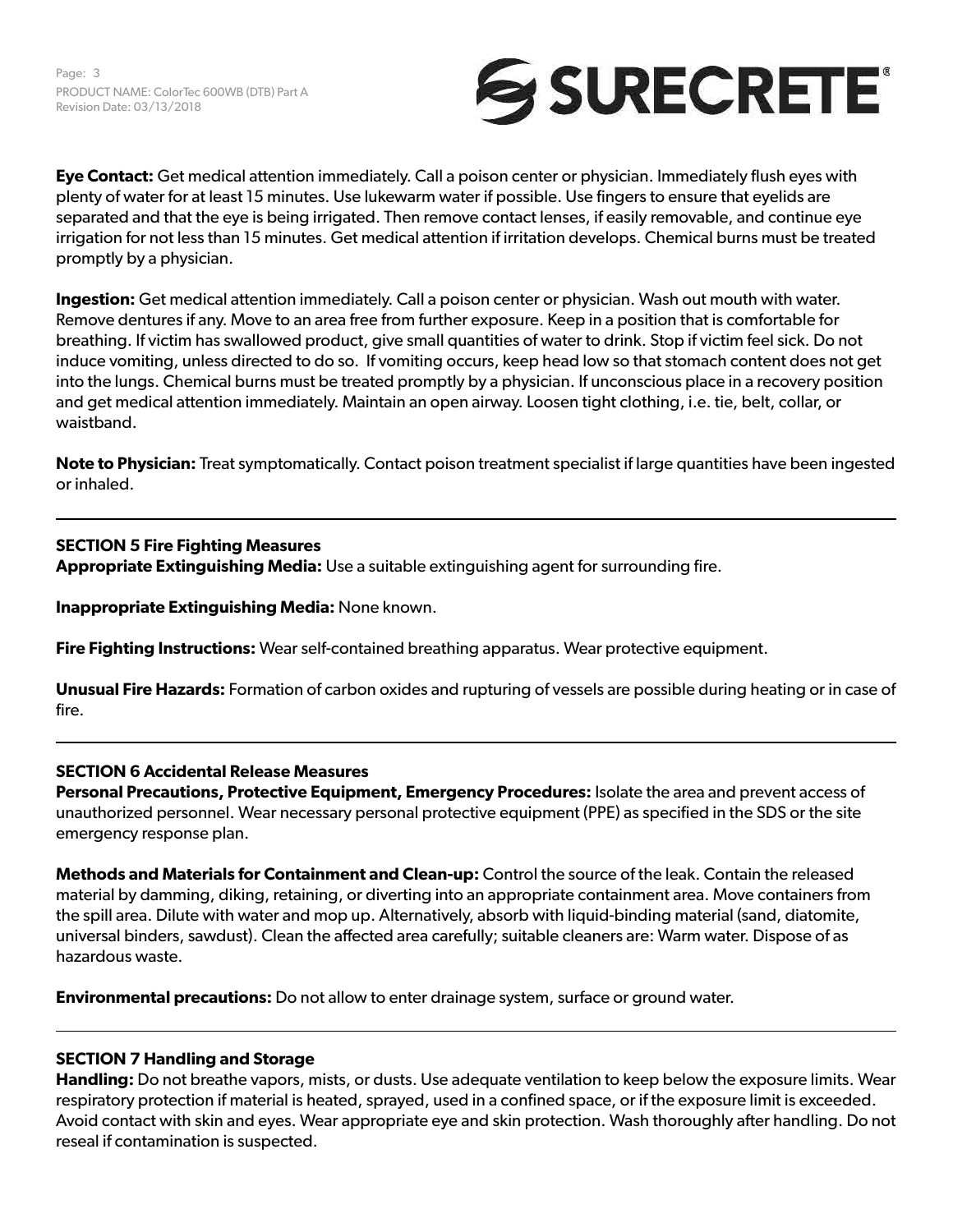

**Eye Contact:** Get medical attention immediately. Call a poison center or physician. Immediately flush eyes with plenty of water for at least 15 minutes. Use lukewarm water if possible. Use fingers to ensure that eyelids are separated and that the eye is being irrigated. Then remove contact lenses, if easily removable, and continue eye irrigation for not less than 15 minutes. Get medical attention if irritation develops. Chemical burns must be treated promptly by a physician.

**Ingestion:** Get medical attention immediately. Call a poison center or physician. Wash out mouth with water. Remove dentures if any. Move to an area free from further exposure. Keep in a position that is comfortable for breathing. If victim has swallowed product, give small quantities of water to drink. Stop if victim feel sick. Do not induce vomiting, unless directed to do so. If vomiting occurs, keep head low so that stomach content does not get into the lungs. Chemical burns must be treated promptly by a physician. If unconscious place in a recovery position and get medical attention immediately. Maintain an open airway. Loosen tight clothing, i.e. tie, belt, collar, or waistband.

**Note to Physician:** Treat symptomatically. Contact poison treatment specialist if large quantities have been ingested or inhaled.

## **SECTION 5 Fire Fighting Measures**

**Appropriate Extinguishing Media:** Use a suitable extinguishing agent for surrounding fire.

**Inappropriate Extinguishing Media:** None known.

**Fire Fighting Instructions:** Wear self-contained breathing apparatus. Wear protective equipment.

**Unusual Fire Hazards:** Formation of carbon oxides and rupturing of vessels are possible during heating or in case of fire.

## **SECTION 6 Accidental Release Measures**

**Personal Precautions, Protective Equipment, Emergency Procedures:** Isolate the area and prevent access of unauthorized personnel. Wear necessary personal protective equipment (PPE) as specified in the SDS or the site emergency response plan.

**Methods and Materials for Containment and Clean-up:** Control the source of the leak. Contain the released material by damming, diking, retaining, or diverting into an appropriate containment area. Move containers from the spill area. Dilute with water and mop up. Alternatively, absorb with liquid-binding material (sand, diatomite, universal binders, sawdust). Clean the affected area carefully; suitable cleaners are: Warm water. Dispose of as hazardous waste.

**Environmental precautions:** Do not allow to enter drainage system, surface or ground water.

## **SECTION 7 Handling and Storage**

**Handling:** Do not breathe vapors, mists, or dusts. Use adequate ventilation to keep below the exposure limits. Wear respiratory protection if material is heated, sprayed, used in a confined space, or if the exposure limit is exceeded. Avoid contact with skin and eyes. Wear appropriate eye and skin protection. Wash thoroughly after handling. Do not reseal if contamination is suspected.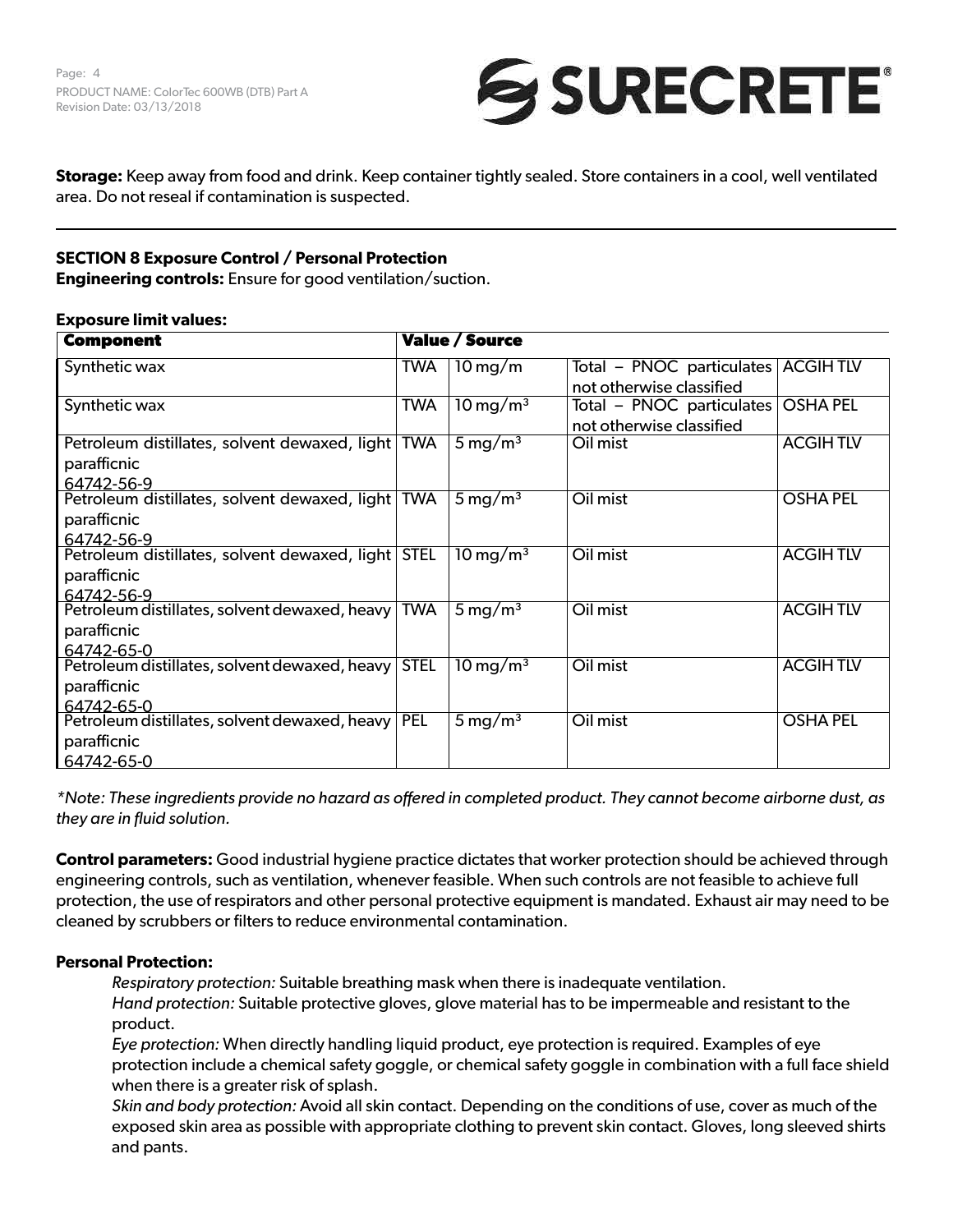

**Storage:** Keep away from food and drink. Keep container tightly sealed. Store containers in a cool, well ventilated area. Do not reseal if contamination is suspected.

# **SECTION 8 Exposure Control / Personal Protection**

**Engineering controls:** Ensure for good ventilation/suction.

### **Exposure limit values:**

| <b>Component</b>                                            | <b>Value / Source</b> |                        |                           |                 |
|-------------------------------------------------------------|-----------------------|------------------------|---------------------------|-----------------|
| Synthetic wax                                               | TWA                   | $10 \,\mathrm{mg/m}$   | Total - PNOC particulates | <b>ACGIHTLV</b> |
|                                                             |                       |                        | not otherwise classified  |                 |
| Synthetic wax                                               | <b>TWA</b>            | $10 \,\mathrm{mg/m^3}$ | Total – PNOC particulates | <b>OSHA PEL</b> |
|                                                             |                       |                        | not otherwise classified  |                 |
| Petroleum distillates, solvent dewaxed, light               | <b>TWA</b>            | $5 \,\mathrm{mg/m^3}$  | Oil mist                  | <b>ACGIHTLV</b> |
| parafficnic                                                 |                       |                        |                           |                 |
| 64742-56-9                                                  |                       |                        |                           |                 |
| Petroleum distillates, solvent dewaxed, light               | <b>TWA</b>            | 5 mg/m <sup>3</sup>    | Oil mist                  | <b>OSHA PEL</b> |
| parafficnic                                                 |                       |                        |                           |                 |
| 64742-56-9                                                  |                       |                        |                           |                 |
| Petroleum distillates, solvent dewaxed, light               | <b>STEL</b>           | $10 \,\mathrm{mg/m^3}$ | Oil mist                  | <b>ACGIHTLV</b> |
| parafficnic                                                 |                       |                        |                           |                 |
| 64742-56-9                                                  |                       |                        |                           |                 |
| Petroleum distillates, solvent dewaxed, heavy               | <b>TWA</b>            | $5 \,\mathrm{mg/m^3}$  | Oil mist                  | <b>ACGIHTLV</b> |
| parafficnic                                                 |                       |                        |                           |                 |
| 64742-65-0<br>Petroleum distillates, solvent dewaxed, heavy | <b>STEL</b>           | $10 \,\mathrm{mg/m^3}$ | Oil mist                  | <b>ACGIHTLV</b> |
|                                                             |                       |                        |                           |                 |
| parafficnic                                                 |                       |                        |                           |                 |
| 64742-65-0<br>Petroleum distillates, solvent dewaxed, heavy | <b>PEL</b>            | 5 mg/m <sup>3</sup>    | Oil mist                  | <b>OSHA PEL</b> |
|                                                             |                       |                        |                           |                 |
| parafficnic                                                 |                       |                        |                           |                 |
| 64742-65-0                                                  |                       |                        |                           |                 |

*\*Note: These ingredients provide no hazard as offered in completed product. They cannot become airborne dust, as they are in fluid solution.*

**Control parameters:** Good industrial hygiene practice dictates that worker protection should be achieved through engineering controls, such as ventilation, whenever feasible. When such controls are not feasible to achieve full protection, the use of respirators and other personal protective equipment is mandated. Exhaust air may need to be cleaned by scrubbers or filters to reduce environmental contamination.

## **Personal Protection:**

*Respiratory protection:* Suitable breathing mask when there is inadequate ventilation.

*Hand protection:* Suitable protective gloves, glove material has to be impermeable and resistant to the product.

*Eye protection:* When directly handling liquid product, eye protection is required. Examples of eye protection include a chemical safety goggle, or chemical safety goggle in combination with a full face shield when there is a greater risk of splash.

*Skin and body protection:* Avoid all skin contact. Depending on the conditions of use, cover as much of the exposed skin area as possible with appropriate clothing to prevent skin contact. Gloves, long sleeved shirts and pants.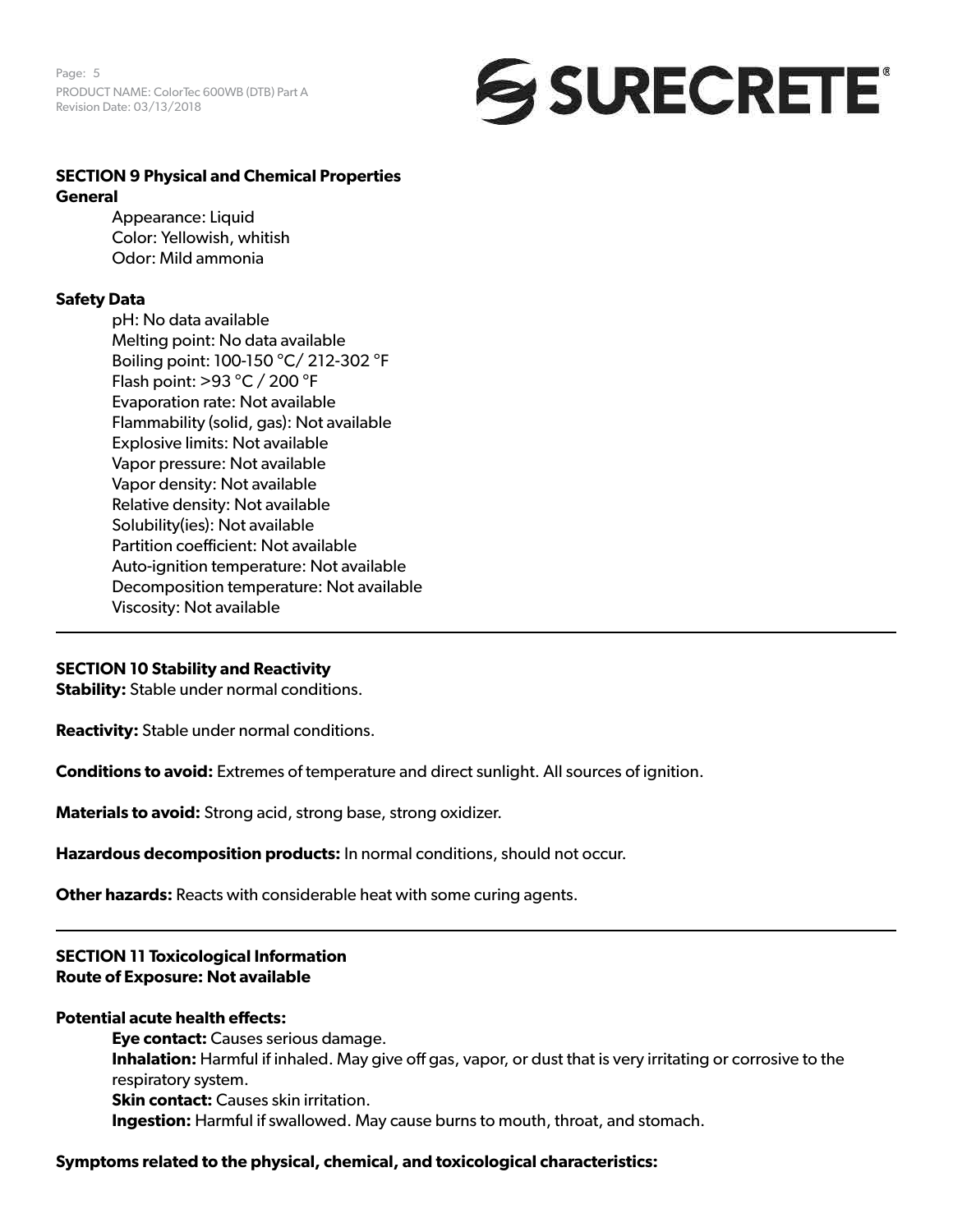Page: 5 PRODUCT NAME: ColorTec 600WB (DTB) Part A Revision Date: 03/13/2018



# **SECTION 9 Physical and Chemical Properties General**

Appearance: Liquid Color: Yellowish, whitish Odor: Mild ammonia

## **Safety Data**

pH: No data available Melting point: No data available Boiling point: 100-150 °C/ 212-302 °F Flash point: >93 °C / 200 °F Evaporation rate: Not available Flammability (solid, gas): Not available Explosive limits: Not available Vapor pressure: Not available Vapor density: Not available Relative density: Not available Solubility(ies): Not available Partition coefficient: Not available Auto-ignition temperature: Not available Decomposition temperature: Not available Viscosity: Not available

## **SECTION 10 Stability and Reactivity**

**Stability:** Stable under normal conditions.

**Reactivity:** Stable under normal conditions.

**Conditions to avoid:** Extremes of temperature and direct sunlight. All sources of ignition.

**Materials to avoid:** Strong acid, strong base, strong oxidizer.

**Hazardous decomposition products:** In normal conditions, should not occur.

**Other hazards:** Reacts with considerable heat with some curing agents.

# **SECTION 11 Toxicological Information Route of Exposure: Not available**

## **Potential acute health effects:**

**Eye contact:** Causes serious damage. **Inhalation:** Harmful if inhaled. May give off gas, vapor, or dust that is very irritating or corrosive to the respiratory system. **Skin contact:** Causes skin irritation. **Ingestion:** Harmful if swallowed. May cause burns to mouth, throat, and stomach.

## **Symptoms related to the physical, chemical, and toxicological characteristics:**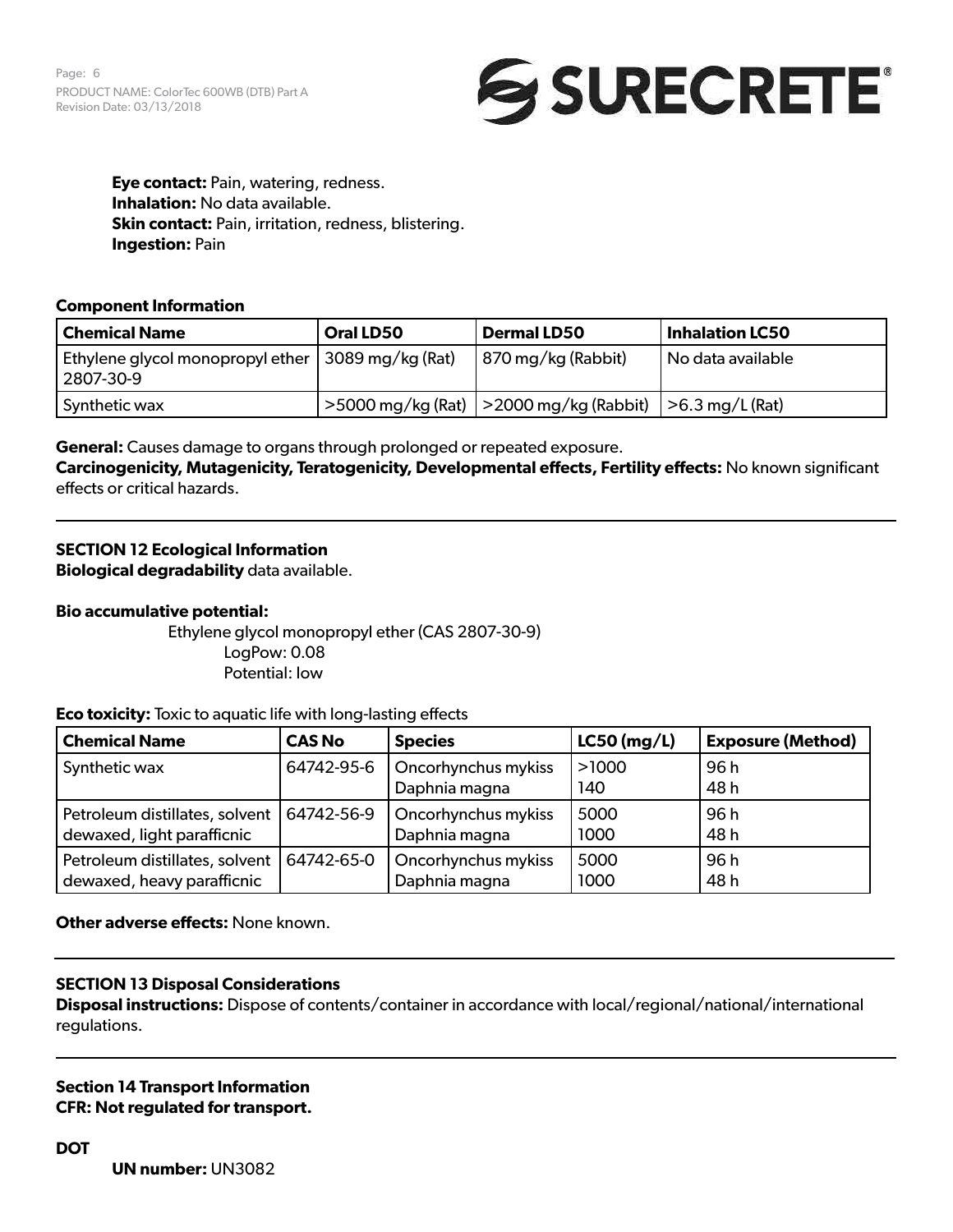Page: 6 PRODUCT NAME: ColorTec 600WB (DTB) Part A Revision Date: 03/13/2018



**Eye contact:** Pain, watering, redness. **Inhalation:** No data available. **Skin contact:** Pain, irritation, redness, blistering. **Ingestion:** Pain

### **Component Information**

| <b>Chemical Name</b>                                                | Oral LD50 | <b>Dermal LD50</b>                             | <b>Inhalation LC50</b> |
|---------------------------------------------------------------------|-----------|------------------------------------------------|------------------------|
| Ethylene glycol monopropyl ether   3089 mg/kg (Rat) !!<br>2807-30-9 |           | 870 mg/kg (Rabbit)                             | No data available      |
| Synthetic wax                                                       |           | $>$ 5000 mg/kg (Rat)   $>$ 2000 mg/kg (Rabbit) | >6.3 mg/L (Rat)        |

**General:** Causes damage to organs through prolonged or repeated exposure.

**Carcinogenicity, Mutagenicity, Teratogenicity, Developmental effects, Fertility effects:** No known significant effects or critical hazards.

# **SECTION 12 Ecological Information**

**Biological degradability** data available.

### **Bio accumulative potential:**

Ethylene glycol monopropyl ether (CAS 2807-30-9) LogPow: 0.08 Potential: low

**Eco toxicity:** Toxic to aquatic life with long-lasting effects

| <b>Chemical Name</b>           | <b>CAS No</b> | <b>Species</b>      | $LC50$ (mg/L) | <b>Exposure (Method)</b> |
|--------------------------------|---------------|---------------------|---------------|--------------------------|
| Synthetic wax                  | 64742-95-6    | Oncorhynchus mykiss | >1000         | 96 h                     |
|                                |               | Daphnia magna       | 140           | 48 h                     |
| Petroleum distillates, solvent | 64742-56-9    | Oncorhynchus mykiss | 5000          | 96h                      |
| dewaxed, light parafficnic     |               | Daphnia magna       | 1000          | 48 h                     |
| Petroleum distillates, solvent | 64742-65-0    | Oncorhynchus mykiss | 5000          | 96h                      |
| dewaxed, heavy parafficnic     |               | Daphnia magna       | 1000          | 48 h                     |

## **Other adverse effects:** None known.

## **SECTION 13 Disposal Considerations**

**Disposal instructions:** Dispose of contents/container in accordance with local/regional/national/international regulations.

**Section 14 Transport Information CFR: Not regulated for transport.** 

**UN number:** UN3082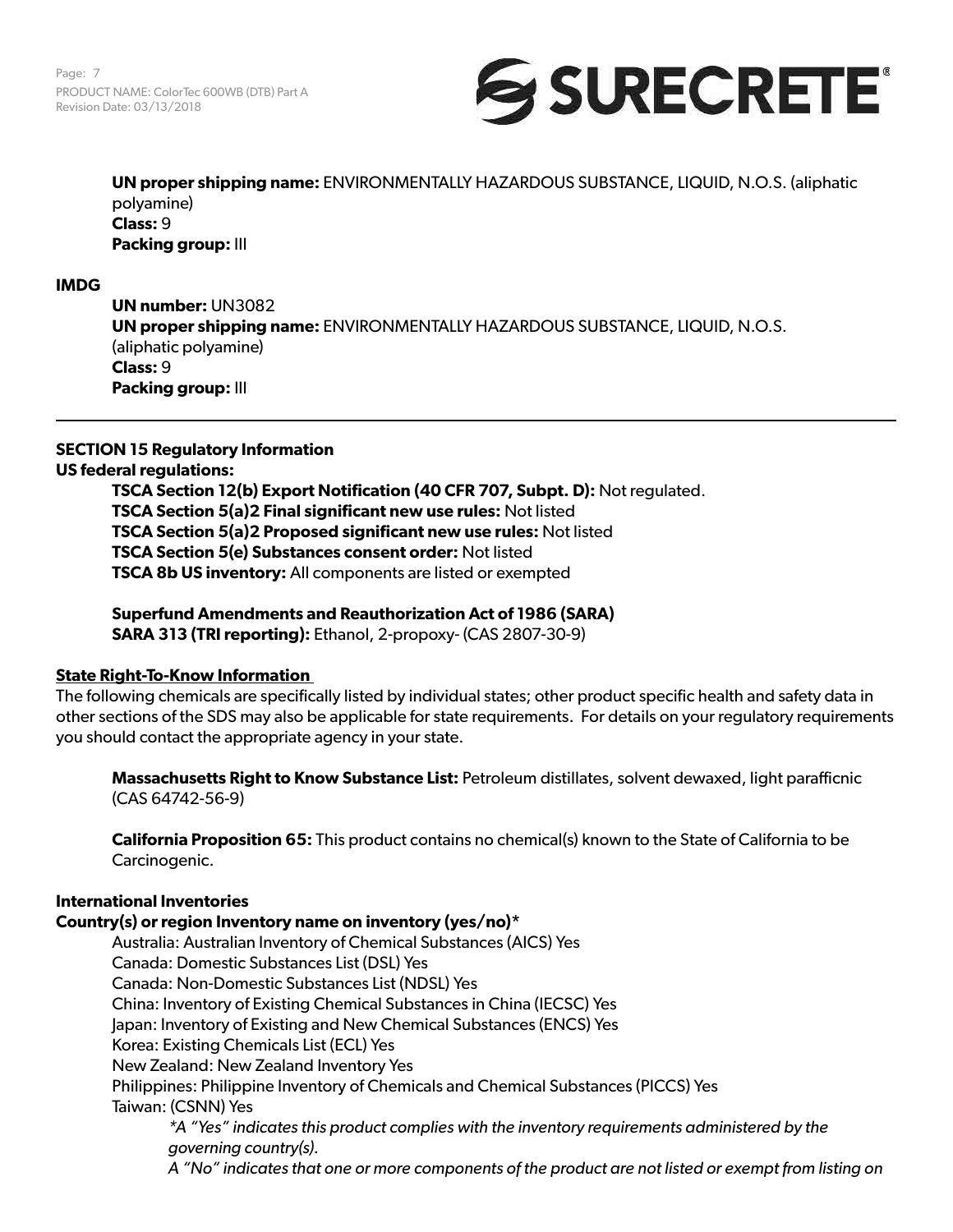

**UN proper shipping name:** ENVIRONMENTALLY HAZARDOUS SUBSTANCE, LIQUID, N.O.S. (aliphatic polyamine) **Class:** 9 **Packing group:** III

### **IMDG**

**UN number:** UN3082 **UN proper shipping name:** ENVIRONMENTALLY HAZARDOUS SUBSTANCE, LIQUID, N.O.S. (aliphatic polyamine) **Class:** 9 **Packing group:** III

## **SECTION 15 Regulatory Information**

#### **US federal regulations:**

**TSCA Section 12(b) Export Notification (40 CFR 707, Subpt. D):** Not regulated. **TSCA Section 5(a)2 Final significant new use rules:** Not listed **TSCA Section 5(a)2 Proposed significant new use rules:** Not listed **TSCA Section 5(e) Substances consent order:** Not listed **TSCA 8b US inventory:** All components are listed or exempted

**Superfund Amendments and Reauthorization Act of 1986 (SARA) SARA 313 (TRI reporting):** Ethanol, 2-propoxy- (CAS 2807-30-9)

#### **State Right-To-Know Information**

The following chemicals are specifically listed by individual states; other product specific health and safety data in other sections of the SDS may also be applicable for state requirements. For details on your regulatory requirements you should contact the appropriate agency in your state.

**Massachusetts Right to Know Substance List:** Petroleum distillates, solvent dewaxed, light parafficnic (CAS 64742-56-9)

**California Proposition 65:** This product contains no chemical(s) known to the State of California to be Carcinogenic.

## **International Inventories**

**Country(s) or region Inventory name on inventory (yes/no)\*** Australia: Australian Inventory of Chemical Substances (AICS) Yes Canada: Domestic Substances List (DSL) Yes Canada: Non-Domestic Substances List (NDSL) Yes China: Inventory of Existing Chemical Substances in China (IECSC) Yes Japan: Inventory of Existing and New Chemical Substances (ENCS) Yes Korea: Existing Chemicals List (ECL) Yes New Zealand: New Zealand Inventory Yes Philippines: Philippine Inventory of Chemicals and Chemical Substances (PICCS) Yes Taiwan: (CSNN) Yes *\*A "Yes" indicates this product complies with the inventory requirements administered by the governing country(s). A "No" indicates that one or more components of the product are not listed or exempt from listing on*